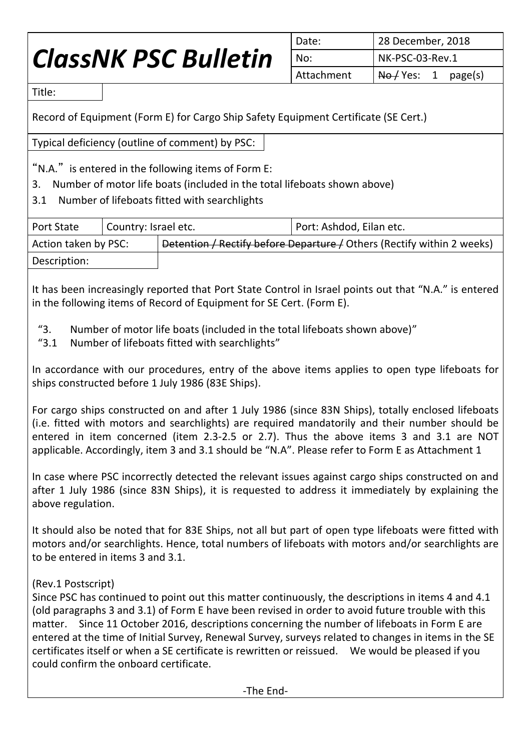## *ClassNK PSC Bulletin*

| Date:      | 28 December, 2018                     |  |  |  |
|------------|---------------------------------------|--|--|--|
| No:        | NK-PSC-03-Rev.1                       |  |  |  |
| Attachment | $\overline{\text{No}}$ Yes: 1 page(s) |  |  |  |

Title:

Record of Equipment (Form E) for Cargo Ship Safety Equipment Certificate (SE Cert.)

Typical deficiency (outline of comment) by PSC:

"N.A." is entered in the following items of Form E:

- 3. Number of motor life boats (included in the total lifeboats shown above)
- 3.1 Number of lifeboats fitted with searchlights

| <b>Port State</b>    | Country: Israel etc. |                                                                        | Port: Ashdod, Eilan etc. |  |  |  |
|----------------------|----------------------|------------------------------------------------------------------------|--------------------------|--|--|--|
| Action taken by PSC: |                      | Detention / Rectify before Departure / Others (Rectify within 2 weeks) |                          |  |  |  |
| Description:         |                      |                                                                        |                          |  |  |  |

It has been increasingly reported that Port State Control in Israel points out that "N.A." is entered in the following items of Record of Equipment for SE Cert. (Form E).

- "3. Number of motor life boats (included in the total lifeboats shown above)"
- "3.1 Number of lifeboats fitted with searchlights"

In accordance with our procedures, entry of the above items applies to open type lifeboats for ships constructed before 1 July 1986 (83E Ships).

For cargo ships constructed on and after 1 July 1986 (since 83N Ships), totally enclosed lifeboats (i.e. fitted with motors and searchlights) are required mandatorily and their number should be entered in item concerned (item 2.3-2.5 or 2.7). Thus the above items 3 and 3.1 are NOT applicable. Accordingly, item 3 and 3.1 should be "N.A". Please refer to Form E as Attachment 1

In case where PSC incorrectly detected the relevant issues against cargo ships constructed on and after 1 July 1986 (since 83N Ships), it is requested to address it immediately by explaining the above regulation.

It should also be noted that for 83E Ships, not all but part of open type lifeboats were fitted with motors and/or searchlights. Hence, total numbers of lifeboats with motors and/or searchlights are to be entered in items 3 and 3.1.

## (Rev.1 Postscript)

Since PSC has continued to point out this matter continuously, the descriptions in items 4 and 4.1 (old paragraphs 3 and 3.1) of Form E have been revised in order to avoid future trouble with this matter. Since 11 October 2016, descriptions concerning the number of lifeboats in Form E are entered at the time of Initial Survey, Renewal Survey, surveys related to changes in items in the SE certificates itself or when a SE certificate is rewritten or reissued. We would be pleased if you could confirm the onboard certificate.